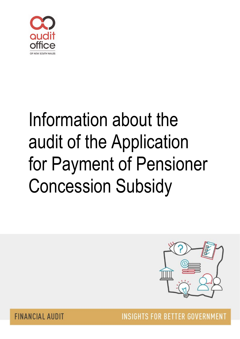

# Information about the audit of the Application for Payment of Pensioner Concession Subsidy



**FINANCIAL AUDIT** 

**INSIGHTS FOR BETTER GOVERNMENT**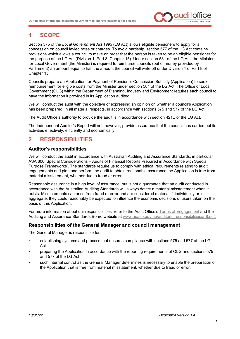

## **1 SCOPE**

Section 575 of the *Local Government Act 1993* (LG Act) allows eligible pensioners to apply for a concession on council levied rates or charges. To avoid hardship, section 577 of the LG Act contains provisions which allows a council to make an order that the person is taken to be an eligible pensioner for the purpose of the LG Act (Division 1, Part 8, Chapter 15). Under section 581 of the LG Act, the Minister for Local Government (the Minister) is required to reimburse councils (out of money provided by Parliament) an amount equal to half the amount the council will write off under Division 1 of Part 8 of Chapter 15.

Councils prepare an Application for Payment of Pensioner Concession Subsidy (Application) to seek reimbursement for eligible costs from the Minister under section 581 of the LG Act. The Office of Local Government (OLG) within the Department of Planning, Industry and Environment requires each council to have the information it provided in its Application audited.

We will conduct the audit with the objective of expressing an opinion on whether a council's Application has been prepared, in all material respects, in accordance with sections 575 and 577 of the LG Act.

The Audit Office's authority to provide the audit is in accordance with section 421E of the LG Act.

The Independent Auditor's Report will not, however, provide assurance that the council has carried out its activities effectively, efficiently and economically.

## **2 RESPONSIBILITIES**

#### **Auditor's responsibilities**

We will conduct the audit in accordance with Australian Auditing and Assurance Standards, in particular ASA 800 'Special Considerations – Audits of Financial Reports Prepared in Accordance with Special Purpose Frameworks'. The standards require us to comply with ethical requirements relating to audit engagements and plan and perform the audit to obtain reasonable assurance the Application is free from material misstatement, whether due to fraud or error.

Reasonable assurance is a high level of assurance, but is not a guarantee that an audit conducted in accordance with the Australian Auditing Standards will always detect a material misstatement when it exists. Misstatements can arise from fraud or error and are considered material if, individually or in aggregate, they could reasonably be expected to influence the economic decisions of users taken on the basis of this Application.

For more information about our responsibilities, refer to the Audit Office's [Terms of Engagement](https://www.audit.nsw.gov.au/our-stakeholders/local-government) and the Auditing and Assurance Standards Board website at [www.auasb.gov.au/auditors\\_responsibilities/ar8.pdf.](http://www.auasb.gov.au/auditors_responsibilities/ar8.pdf)

#### **Responsibilities of the General Manager and council management**

The General Manager is responsible for:

- establishing systems and process that ensures compliance with sections 575 and 577 of the LG  $\Delta$ ct
- preparing the Application in accordance with the reporting requirements of OLG and sections 575 and 577 of the LG Act
- such internal control as the General Manager determines is necessary to enable the preparation of the Application that is free from material misstatement, whether due to fraud or error.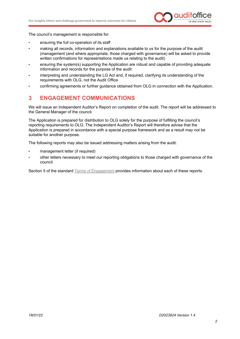

The council's management is responsible for:

- ensuring the full co-operation of its staff
- making all records, information and explanations available to us for the purpose of the audit (management (and where appropriate, those charged with governance) will be asked to provide written confirmations for representations made us relating to the audit)
- ensuring the system(s) supporting the Application are robust and capable of providing adequate information and records for the purpose of the audit
- interpreting and understanding the LG Act and, if required, clarifying its understanding of the requirements with OLG, not the Audit Office
- confirming agreements or further guidance obtained from OLG in connection with the Application.

### **3 ENGAGEMENT COMMUNICATIONS**

We will issue an Independent Auditor's Report on completion of the audit. The report will be addressed to the General Manager of the council.

The Application is prepared for distribution to OLG solely for the purpose of fulfilling the council's reporting requirements to OLG. The Independent Auditor's Report will therefore advise that the Application is prepared in accordance with a special purpose framework and as a result may not be suitable for another purpose.

The following reports may also be issued addressing matters arising from the audit:

- management letter (if required)
- other letters necessary to meet our reporting obligations to those charged with governance of the council.

Section 5 of the standard [Terms of Engagement](https://www.audit.nsw.gov.au/our-stakeholders/local-government) provides information about each of these reports.